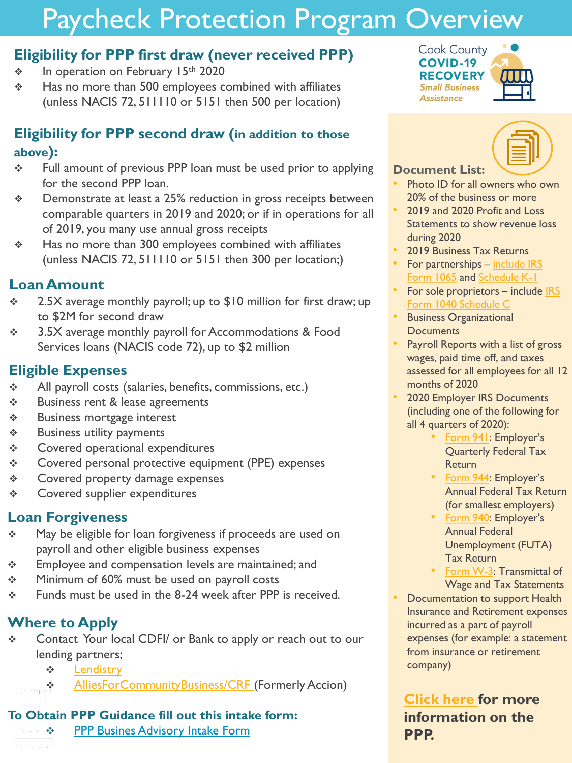# Paycheck Protection Program Overview

## **Eligibility for PPP first draw (never received PPP)**

- ❖ In operation on February 15<sup>th</sup> 2020
- ❖ Has no more than 500 employees combined with affiliates (unless NACIS 72, 511110 or 5151 then 500 per location)

# **Eligibility for PPP second draw (in addition to those above):**

- ❖ Full amount of previous PPP loan must be used prior to applying for the second PPP loan.
- ❖ Demonstrate at least a 25% reduction in gross receipts between comparable quarters in 2019 and 2020; or if in operations for all of 2019, you many use annual gross receipts
- ❖ Has no more than 300 employees combined with affiliates (unless NACIS 72, 511110 or 5151 then 300 per location;)

# **Loan Amount**

- ❖ 2.5X average monthly payroll; up to \$10 million for first draw; up to \$2M for second draw
- ❖ 3.5X average monthly payroll for Accommodations & Food Services loans (NACIS code 72), up to \$2 million

# **Eligible Expenses**

- ❖ All payroll costs (salaries, benefits, commissions, etc.)
- ❖ Business rent & lease agreements
- ❖ Business mortgage interest
- ❖ Business utility payments
- ❖ Covered operational expenditures
- ❖ Covered personal protective equipment (PPE) expenses
- ❖ Covered property damage expenses
- ❖ Covered supplier expenditures

### **Loan Forgiveness**

- ❖ May be eligible for loan forgiveness if proceeds are used on payroll and other eligible business expenses
- ❖ Employee and compensation levels are maintained; and
- ❖ Minimum of 60% must be used on payroll costs
- ❖ Funds must be used in the 8-24 week after PPP is received.

# **Where to Apply**

- ❖ Contact Your local CDFI/ or Bank to apply or reach out to our lending partners;
	- ❖ [Lendistry](https://lendistry.com/partner/cook-county-small-business-assistance-program/)
	- ❖ [AlliesForCommunityBusiness/CRF \(](https://crfusappploans.com/partners/accion-chicago/)Formerly Accion)

#### **To Obtain PPP Guidance fill out this intake form:**

❖ [PPP Busines Advisory Intake Form](https://docs.google.com/forms/d/e/1FAIpQLScx3mYYZ6z6UCpQ1_8kvrIbOpCWIPb2a-ocUiOtAn169tujfg/viewform?usp=sf_link)





#### **Document List:**

- Photo ID for all owners who own 20% of the business or more
- 2019 and 2020 Profit and Loss Statements to show revenue loss during 2020
- 2019 Business Tax Returns
- For partnerships include IRS Form 1065 [and Schedule K-1](https://www.irs.gov/forms-pubs/about-form-1065)
- For sole proprietors include IRS [Form 1040 Schedule C](https://www.irs.gov/forms-pubs/about-schedule-c-form-1040)
- Business Organizational **Documents**
- Payroll Reports with a list of gross wages, paid time off, and taxes assessed for all employees for all 12 months of 2020
- 2020 Employer IRS Documents (including one of the following for all 4 quarters of 2020):
	- [Form 941](https://www.irs.gov/forms-pubs/about-form-941): Employer's Quarterly Federal Tax Return
	- [Form 944](https://www.irs.gov/forms-pubs/about-form-944#:~:text=Form%20944%20is%20designed%20so,year%20instead%20of%20every%20quarter.): Employer's Annual Federal Tax Return (for smallest employers)
	- [Form 940:](https://www.irs.gov/forms-pubs/about-form-940) Employer's Annual Federal Unemployment (FUTA) Tax Return
	- [Form W-3:](https://www.irs.gov/forms-pubs/about-form-w-3) Transmittal of Wage and Tax Statements
	- **Documentation to support Health** Insurance and Retirement expenses incurred as a part of payroll expenses (for example: a statement from insurance or retirement company)

**[Click here f](https://www.sba.gov/funding-programs/loans/coronavirus-relief-options/paycheck-protection-program)or more information on the PPP.**